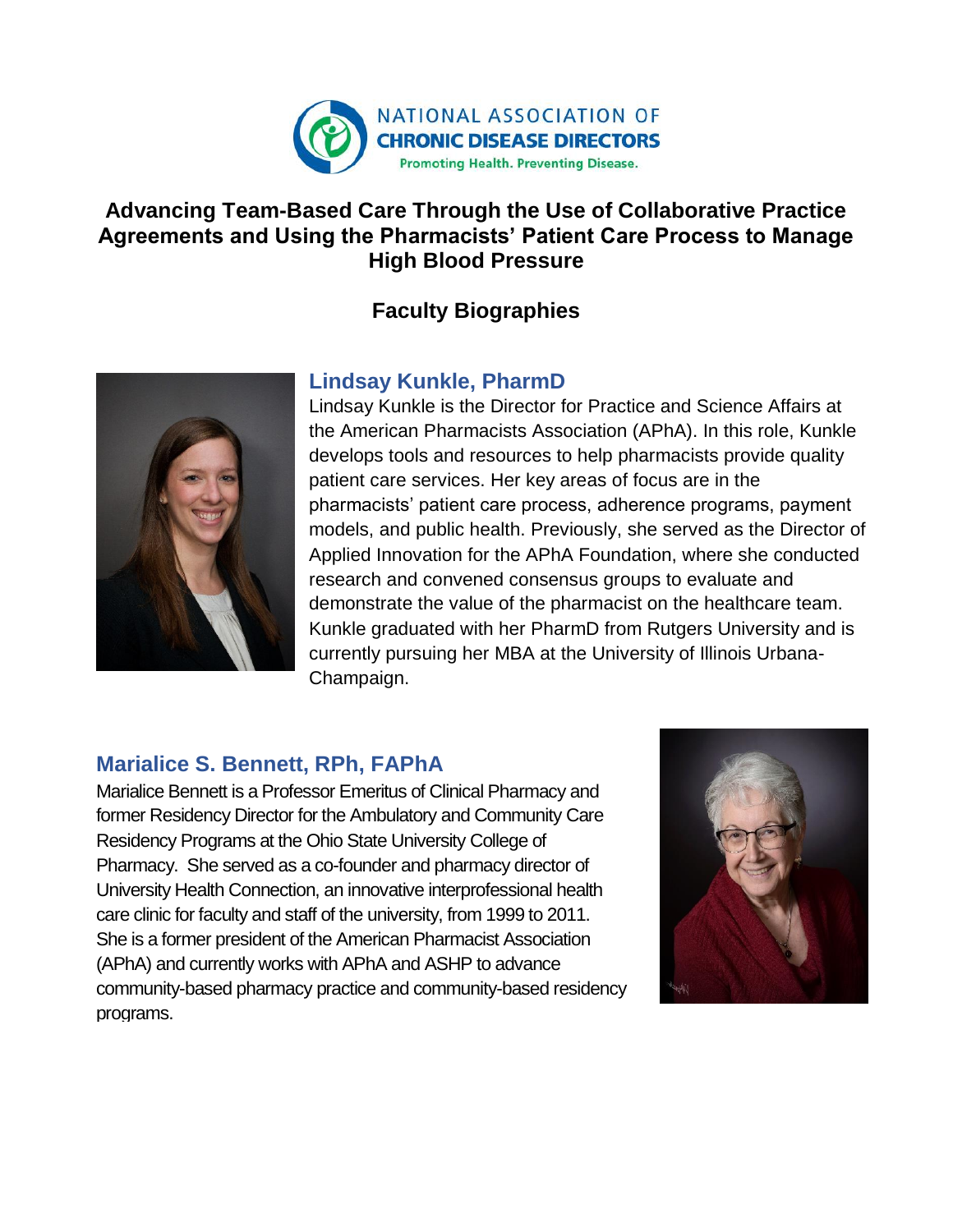

### **Advancing Team-Based Care Through the Use of Collaborative Practice Agreements and Using the Pharmacists' Patient Care Process to Manage High Blood Pressure**

# **Faculty Biographies**



#### **Lindsay Kunkle, PharmD**

Lindsay Kunkle is the Director for Practice and Science Affairs at the American Pharmacists Association (APhA). In this role, Kunkle develops tools and resources to help pharmacists provide quality patient care services. Her key areas of focus are in the pharmacists' patient care process, adherence programs, payment models, and public health. Previously, she served as the Director of Applied Innovation for the APhA Foundation, where she conducted research and convened consensus groups to evaluate and demonstrate the value of the pharmacist on the healthcare team. Kunkle graduated with her PharmD from Rutgers University and is currently pursuing her MBA at the University of Illinois Urbana-Champaign.

## **Marialice S. Bennett, RPh, FAPhA**

Marialice Bennett is a Professor Emeritus of Clinical Pharmacy and former Residency Director for the Ambulatory and Community Care Residency Programs at the Ohio State University College of Pharmacy. She served as a co-founder and pharmacy director of University Health Connection, an innovative interprofessional health care clinic for faculty and staff of the university, from 1999 to 2011. She is a former president of the American Pharmacist Association (APhA) and currently works with APhA and ASHP to advance community-based pharmacy practice and community-based residency programs.